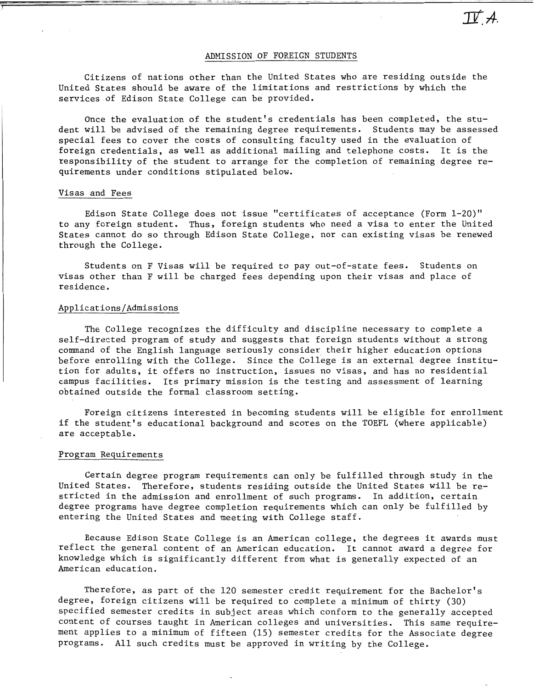# ADMISSION OF FOREIGN STUDENTS

Citizens of nations other than the United States who are residing outside the United States should be aware of the limitations and restrictions by which the services of Edison State College can be provided.

Once the evaluation of the student's credentials has been completed. the student will be advised of the remaining degree requirements. Students may be assessed special fees to cover the costs of consulting faculty used in the evaluation of foreign credentials. as well as additional mailing and telephone costs. It is the responsibility of the student to arrange for the completion of remaining degree requirements under conditions stipulated below.

### Visas and Fees

**7** 

Edison State College does not issue "certificates of acceptance (Form 1-20)" to any foreign student. Thus, foreign students who need a visa to enter the United States cannot do so through Edison State College, nor can existing visas be renewed through the College.

Students on F Visas will be required to pay out-of-state fees. Students on visas other than F will be charged fees depending upon their visas and place of residence.

#### Applications/Admissions

The College recognizes the difficulty and discipline necessary to complete a self-directed program of study and suggests that foreign students without a strong command of the English language seriously consider their higher education options before enrolling with the College. Since the College is an external degree institution for adults, it offers no instruction, issues no visas, and has no residential campus facilities. Its primary mission is the testing and assessment of learning obtained outside the formal classroom setting.

Foreign citizens interested in becoming students will be eligible for enrollment if the student's educational background and scores on the TOEFL (where applicable) are acceptable.

# Program Requirements

Certain degree program requirements can only be fulfilled through study in the United States. Therefore, students residing outside the United States will be restricted in the admission and enrollment of such programs. In addition, certain degree programs have degree completion requirements which can only be fulfilled by entering the United States and meeting with College staff.

Because Edison State College is an American college. the degrees it awards must reflect the general content of an American education. It cannot award a degree for knowledge which is significantly different from what is generally expected of an American education.

Therefore, as part of the 120 semester credit requirement for the Bachelor's degree. foreign citizens will be required to complete a minimum of thirty (30) specified semester credits in subject areas which conform to the generally accepted content of courses taught in American colleges and universities. This same requirement applies to a minimum of fifteen (15) semester credits for the Associate degree programs. All such credits must be approved in writing by the College.